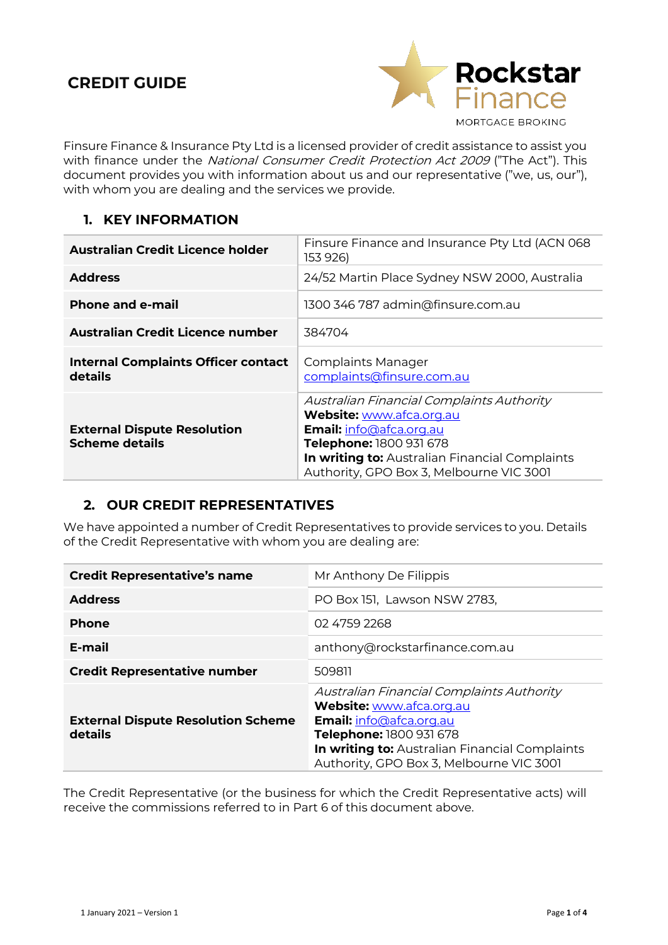# **CREDIT GUIDE**



Finsure Finance & Insurance Pty Ltd is a licensed provider of credit assistance to assist you with finance under the National Consumer Credit Protection Act 2009 ("The Act"). This document provides you with information about us and our representative ("we, us, our"), with whom you are dealing and the services we provide.

#### **1. KEY INFORMATION**

| <b>Australian Credit Licence holder</b>                     | Finsure Finance and Insurance Pty Ltd (ACN 068<br>153 926)                                                                                                                                                                |
|-------------------------------------------------------------|---------------------------------------------------------------------------------------------------------------------------------------------------------------------------------------------------------------------------|
| <b>Address</b>                                              | 24/52 Martin Place Sydney NSW 2000, Australia                                                                                                                                                                             |
| <b>Phone and e-mail</b>                                     | 1300 346 787 admin@finsure.com.au                                                                                                                                                                                         |
| Australian Credit Licence number                            | 384704                                                                                                                                                                                                                    |
| <b>Internal Complaints Officer contact</b><br>details       | Complaints Manager<br>complaints@finsure.com.au                                                                                                                                                                           |
| <b>External Dispute Resolution</b><br><b>Scheme details</b> | Australian Financial Complaints Authority<br>Website: www.afca.org.au<br>Email: info@afca.org.au<br>Telephone: 1800 931 678<br>In writing to: Australian Financial Complaints<br>Authority, GPO Box 3, Melbourne VIC 3001 |

#### **2. OUR CREDIT REPRESENTATIVES**

We have appointed a number of Credit Representatives to provide services to you. Details of the Credit Representative with whom you are dealing are:

| <b>Credit Representative's name</b>                  | Mr Anthony De Filippis                                                                                                                                                                                                           |
|------------------------------------------------------|----------------------------------------------------------------------------------------------------------------------------------------------------------------------------------------------------------------------------------|
| <b>Address</b>                                       | PO Box 151, Lawson NSW 2783,                                                                                                                                                                                                     |
| <b>Phone</b>                                         | 02 4759 2268                                                                                                                                                                                                                     |
| E-mail                                               | anthony@rockstarfinance.com.au                                                                                                                                                                                                   |
| <b>Credit Representative number</b>                  | 509811                                                                                                                                                                                                                           |
| <b>External Dispute Resolution Scheme</b><br>details | Australian Financial Complaints Authority<br>Website: www.afca.org.au<br><b>Email:</b> info@afca.org.au<br>Telephone: 1800 931 678<br>In writing to: Australian Financial Complaints<br>Authority, GPO Box 3, Melbourne VIC 3001 |

The Credit Representative (or the business for which the Credit Representative acts) will receive the commissions referred to in Part 6 of this document above.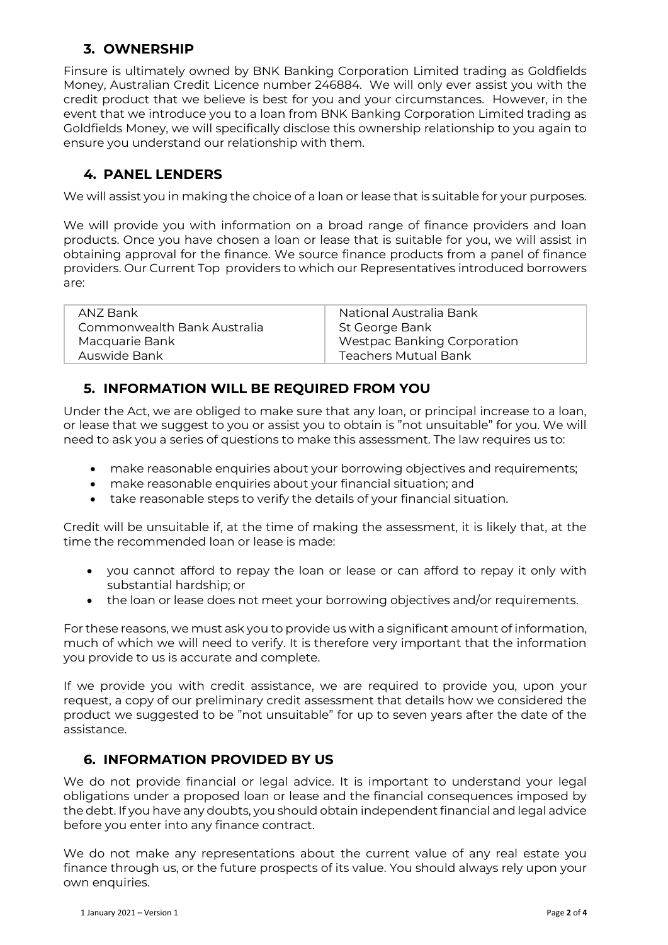#### **3. OWNERSHIP**

Finsure is ultimately owned by BNK Banking Corporation Limited trading as Goldfields Money, Australian Credit Licence number 246884. We will only ever assist you with the credit product that we believe is best for you and your circumstances. However, in the event that we introduce you to a loan from BNK Banking Corporation Limited trading as Goldfields Money, we will specifically disclose this ownership relationship to you again to ensure you understand our relationship with them.

### **4. PANEL LENDERS**

We will assist you in making the choice of a loan or lease that is suitable for your purposes.

We will provide you with information on a broad range of finance providers and loan products. Once you have chosen a loan or lease that is suitable for you, we will assist in obtaining approval for the finance. We source finance products from a panel of finance providers. Our Current Top providers to which our Representatives introduced borrowers are:

| ANZ Bank                    | National Australia Bank            |
|-----------------------------|------------------------------------|
| Commonwealth Bank Australia | St George Bank                     |
| Macquarie Bank              | <b>Westpac Banking Corporation</b> |
| Auswide Bank                | <b>Teachers Mutual Bank</b>        |

### **5. INFORMATION WILL BE REQUIRED FROM YOU**

Under the Act, we are obliged to make sure that any loan, or principal increase to a loan, or lease that we suggest to you or assist you to obtain is "not unsuitable" for you. We will need to ask you a series of questions to make this assessment. The law requires us to:

- make reasonable enquiries about your borrowing objectives and requirements;
- make reasonable enquiries about your financial situation; and
- take reasonable steps to verify the details of your financial situation.

Credit will be unsuitable if, at the time of making the assessment, it is likely that, at the time the recommended loan or lease is made:

- you cannot afford to repay the loan or lease or can afford to repay it only with substantial hardship; or
- the loan or lease does not meet your borrowing objectives and/or requirements.

For these reasons, we must ask you to provide us with a significant amount of information, much of which we will need to verify. It is therefore very important that the information you provide to us is accurate and complete.

If we provide you with credit assistance, we are required to provide you, upon your request, a copy of our preliminary credit assessment that details how we considered the product we suggested to be "not unsuitable" for up to seven years after the date of the assistance.

### **6. INFORMATION PROVIDED BY US**

We do not provide financial or legal advice. It is important to understand your legal obligations under a proposed loan or lease and the financial consequences imposed by the debt. If you have any doubts, you should obtain independent financial and legal advice before you enter into any finance contract.

We do not make any representations about the current value of any real estate you finance through us, or the future prospects of its value. You should always rely upon your own enquiries.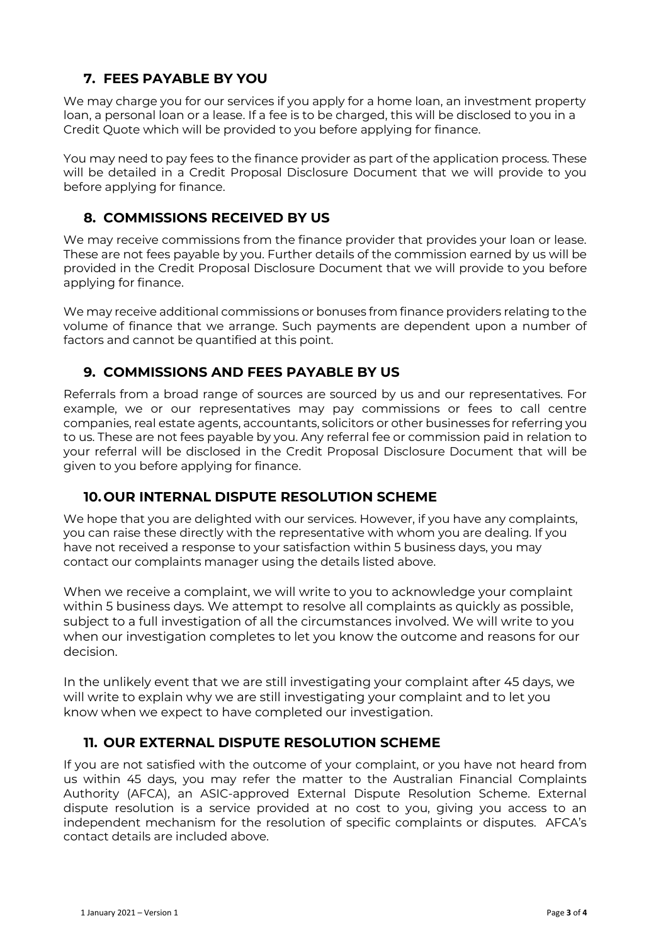### **7. FEES PAYABLE BY YOU**

We may charge you for our services if you apply for a home loan, an investment property loan, a personal loan or a lease. If a fee is to be charged, this will be disclosed to you in a Credit Quote which will be provided to you before applying for finance.

You may need to pay fees to the finance provider as part of the application process. These will be detailed in a Credit Proposal Disclosure Document that we will provide to you before applying for finance.

## **8. COMMISSIONS RECEIVED BY US**

We may receive commissions from the finance provider that provides your loan or lease. These are not fees payable by you. Further details of the commission earned by us will be provided in the Credit Proposal Disclosure Document that we will provide to you before applying for finance.

We may receive additional commissions or bonuses from finance providers relating to the volume of finance that we arrange. Such payments are dependent upon a number of factors and cannot be quantified at this point.

### **9. COMMISSIONS AND FEES PAYABLE BY US**

Referrals from a broad range of sources are sourced by us and our representatives. For example, we or our representatives may pay commissions or fees to call centre companies, real estate agents, accountants, solicitors or other businesses for referring you to us. These are not fees payable by you. Any referral fee or commission paid in relation to your referral will be disclosed in the Credit Proposal Disclosure Document that will be given to you before applying for finance.

### **10. OUR INTERNAL DISPUTE RESOLUTION SCHEME**

We hope that you are delighted with our services. However, if you have any complaints, you can raise these directly with the representative with whom you are dealing. If you have not received a response to your satisfaction within 5 business days, you may contact our complaints manager using the details listed above.

When we receive a complaint, we will write to you to acknowledge your complaint within 5 business days. We attempt to resolve all complaints as quickly as possible, subject to a full investigation of all the circumstances involved. We will write to you when our investigation completes to let you know the outcome and reasons for our decision.

In the unlikely event that we are still investigating your complaint after 45 days, we will write to explain why we are still investigating your complaint and to let you know when we expect to have completed our investigation.

### **11. OUR EXTERNAL DISPUTE RESOLUTION SCHEME**

If you are not satisfied with the outcome of your complaint, or you have not heard from us within 45 days, you may refer the matter to the Australian Financial Complaints Authority (AFCA), an ASIC-approved External Dispute Resolution Scheme. External dispute resolution is a service provided at no cost to you, giving you access to an independent mechanism for the resolution of specific complaints or disputes. AFCA's contact details are included above.